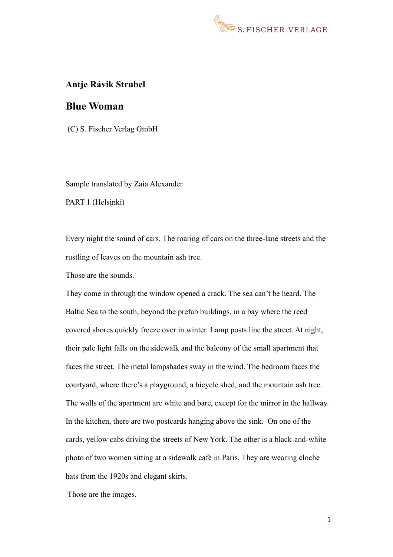

#### **Antje Rávik Strubel**

### **Blue Woman**

(C) S. Fischer Verlag GmbH

Sample translated by Zaia Alexander

PART 1 (Helsinki)

Every night the sound of cars. The roaring of cars on the three-lane streets and the rustling of leaves on the mountain ash tree.

Those are the sounds.

They come in through the window opened a crack. The sea can't be heard. The Baltic Sea to the south, beyond the prefab buildings, in a bay where the reed covered shores quickly freeze over in winter. Lamp posts line the street. At night, their pale light falls on the sidewalk and the balcony of the small apartment that faces the street. The metal lampshades sway in the wind. The bedroom faces the courtyard, where there's a playground, a bicycle shed, and the mountain ash tree. The walls of the apartment are white and bare, except for the mirror in the hallway. In the kitchen, there are two postcards hanging above the sink. On one of the cards, yellow cabs driving the streets of New York. The other is a black-and-white photo of two women sitting at a sidewalk café in Paris. They are wearing cloche hats from the 1920s and elegant skirts.

Those are the images.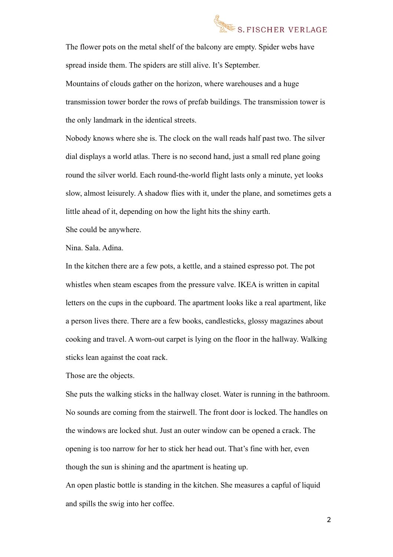# S. FISCHER VERLAGE

The flower pots on the metal shelf of the balcony are empty. Spider webs have spread inside them. The spiders are still alive. It's September. Mountains of clouds gather on the horizon, where warehouses and a huge

transmission tower border the rows of prefab buildings. The transmission tower is the only landmark in the identical streets.

Nobody knows where she is. The clock on the wall reads half past two. The silver dial displays a world atlas. There is no second hand, just a small red plane going round the silver world. Each round-the-world flight lasts only a minute, yet looks slow, almost leisurely. A shadow flies with it, under the plane, and sometimes gets a little ahead of it, depending on how the light hits the shiny earth.

She could be anywhere.

Nina. Sala. Adina.

In the kitchen there are a few pots, a kettle, and a stained espresso pot. The pot whistles when steam escapes from the pressure valve. IKEA is written in capital letters on the cups in the cupboard. The apartment looks like a real apartment, like a person lives there. There are a few books, candlesticks, glossy magazines about cooking and travel. A worn-out carpet is lying on the floor in the hallway. Walking sticks lean against the coat rack.

Those are the objects.

She puts the walking sticks in the hallway closet. Water is running in the bathroom. No sounds are coming from the stairwell. The front door is locked. The handles on the windows are locked shut. Just an outer window can be opened a crack. The opening is too narrow for her to stick her head out. That's fine with her, even though the sun is shining and the apartment is heating up.

An open plastic bottle is standing in the kitchen. She measures a capful of liquid and spills the swig into her coffee.

2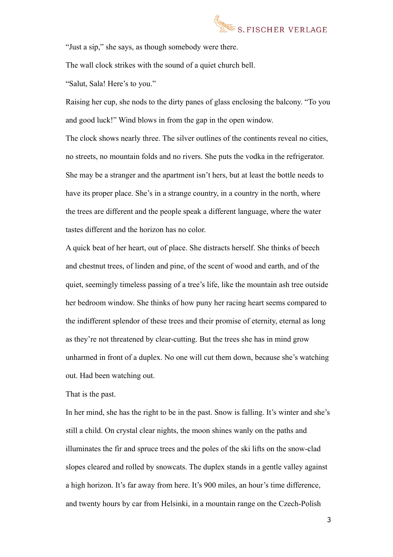

"Just a sip," she says, as though somebody were there.

The wall clock strikes with the sound of a quiet church bell.

"Salut, Sala! Here's to you."

Raising her cup, she nods to the dirty panes of glass enclosing the balcony. "To you and good luck!" Wind blows in from the gap in the open window.

The clock shows nearly three. The silver outlines of the continents reveal no cities, no streets, no mountain folds and no rivers. She puts the vodka in the refrigerator. She may be a stranger and the apartment isn't hers, but at least the bottle needs to have its proper place. She's in a strange country, in a country in the north, where the trees are different and the people speak a different language, where the water tastes different and the horizon has no color.

A quick beat of her heart, out of place. She distracts herself. She thinks of beech and chestnut trees, of linden and pine, of the scent of wood and earth, and of the quiet, seemingly timeless passing of a tree's life, like the mountain ash tree outside her bedroom window. She thinks of how puny her racing heart seems compared to the indifferent splendor of these trees and their promise of eternity, eternal as long as they're not threatened by clear-cutting. But the trees she has in mind grow unharmed in front of a duplex. No one will cut them down, because she's watching out. Had been watching out.

#### That is the past.

In her mind, she has the right to be in the past. Snow is falling. It's winter and she's still a child. On crystal clear nights, the moon shines wanly on the paths and illuminates the fir and spruce trees and the poles of the ski lifts on the snow-clad slopes cleared and rolled by snowcats. The duplex stands in a gentle valley against a high horizon. It's far away from here. It's 900 miles, an hour's time difference, and twenty hours by car from Helsinki, in a mountain range on the Czech-Polish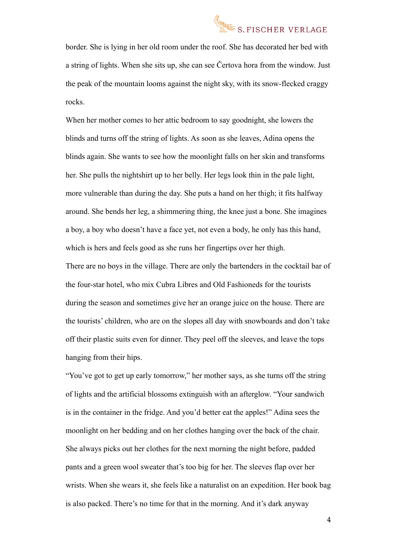## S.FISCHER VERLAGE

border. She is lying in her old room under the roof. She has decorated her bed with a string of lights. When she sits up, she can see Čertova hora from the window. Just the peak of the mountain looms against the night sky, with its snow-flecked craggy rocks.

When her mother comes to her attic bedroom to say goodnight, she lowers the blinds and turns off the string of lights. As soon as she leaves, Adina opens the blinds again. She wants to see how the moonlight falls on her skin and transforms her. She pulls the nightshirt up to her belly. Her legs look thin in the pale light, more vulnerable than during the day. She puts a hand on her thigh; it fits halfway around. She bends her leg, a shimmering thing, the knee just a bone. She imagines a boy, a boy who doesn't have a face yet, not even a body, he only has this hand, which is hers and feels good as she runs her fingertips over her thigh.

There are no boys in the village. There are only the bartenders in the cocktail bar of the four-star hotel, who mix Cubra Libres and Old Fashioneds for the tourists during the season and sometimes give her an orange juice on the house. There are the tourists' children, who are on the slopes all day with snowboards and don't take off their plastic suits even for dinner. They peel off the sleeves, and leave the tops hanging from their hips.

"You've got to get up early tomorrow," her mother says, as she turns off the string of lights and the artificial blossoms extinguish with an afterglow. "Your sandwich is in the container in the fridge. And you'd better eat the apples!" Adina sees the moonlight on her bedding and on her clothes hanging over the back of the chair. She always picks out her clothes for the next morning the night before, padded pants and a green wool sweater that's too big for her. The sleeves flap over her wrists. When she wears it, she feels like a naturalist on an expedition. Her book bag is also packed. There's no time for that in the morning. And it's dark anyway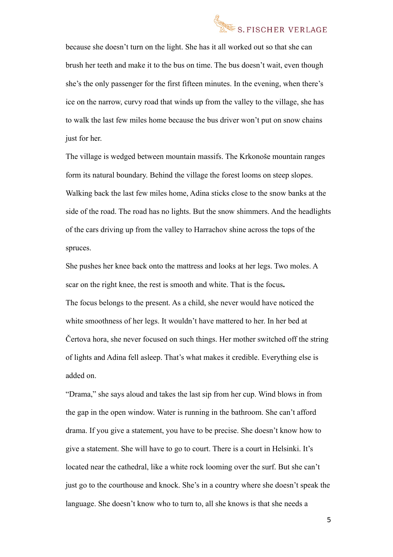

because she doesn't turn on the light. She has it all worked out so that she can brush her teeth and make it to the bus on time. The bus doesn't wait, even though she's the only passenger for the first fifteen minutes. In the evening, when there's ice on the narrow, curvy road that winds up from the valley to the village, she has to walk the last few miles home because the bus driver won't put on snow chains just for her.

The village is wedged between mountain massifs. The Krkonoše mountain ranges form its natural boundary. Behind the village the forest looms on steep slopes. Walking back the last few miles home, Adina sticks close to the snow banks at the side of the road. The road has no lights. But the snow shimmers. And the headlights of the cars driving up from the valley to Harrachov shine across the tops of the spruces.

She pushes her knee back onto the mattress and looks at her legs. Two moles. A scar on the right knee, the rest is smooth and white. That is the focus**.** The focus belongs to the present. As a child, she never would have noticed the white smoothness of her legs. It wouldn't have mattered to her. In her bed at Čertova hora, she never focused on such things. Her mother switched off the string of lights and Adina fell asleep. That's what makes it credible. Everything else is added on.

"Drama," she says aloud and takes the last sip from her cup. Wind blows in from the gap in the open window. Water is running in the bathroom. She can't afford drama. If you give a statement, you have to be precise. She doesn't know how to give a statement. She will have to go to court. There is a court in Helsinki. It's located near the cathedral, like a white rock looming over the surf. But she can't just go to the courthouse and knock. She's in a country where she doesn't speak the language. She doesn't know who to turn to, all she knows is that she needs a

5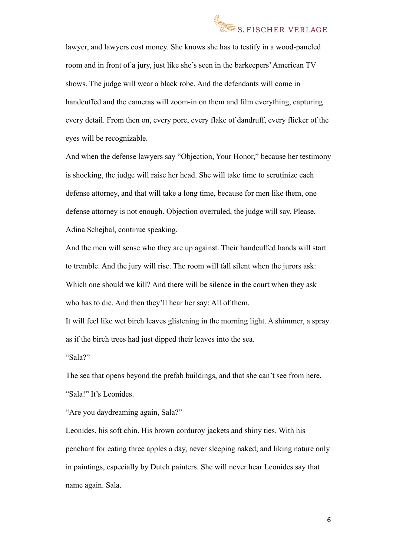

lawyer, and lawyers cost money. She knows she has to testify in a wood-paneled room and in front of a jury, just like she's seen in the barkeepers' American TV shows. The judge will wear a black robe. And the defendants will come in handcuffed and the cameras will zoom-in on them and film everything, capturing every detail. From then on, every pore, every flake of dandruff, every flicker of the eyes will be recognizable.

And when the defense lawyers say "Objection, Your Honor," because her testimony is shocking, the judge will raise her head. She will take time to scrutinize each defense attorney, and that will take a long time, because for men like them, one defense attorney is not enough. Objection overruled, the judge will say. Please, Adina Schejbal, continue speaking.

And the men will sense who they are up against. Their handcuffed hands will start to tremble. And the jury will rise. The room will fall silent when the jurors ask: Which one should we kill? And there will be silence in the court when they ask who has to die. And then they'll hear her say: All of them.

It will feel like wet birch leaves glistening in the morning light. A shimmer, a spray as if the birch trees had just dipped their leaves into the sea.

"Sala?"

The sea that opens beyond the prefab buildings, and that she can't see from here. "Sala!" It's Leonides.

"Are you daydreaming again, Sala?"

Leonides, his soft chin. His brown corduroy jackets and shiny ties. With his penchant for eating three apples a day, never sleeping naked, and liking nature only in paintings, especially by Dutch painters. She will never hear Leonides say that name again. Sala.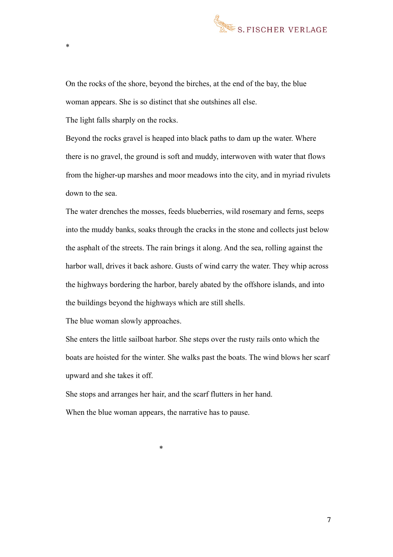

On the rocks of the shore, beyond the birches, at the end of the bay, the blue woman appears. She is so distinct that she outshines all else.

The light falls sharply on the rocks.

\*

Beyond the rocks gravel is heaped into black paths to dam up the water. Where there is no gravel, the ground is soft and muddy, interwoven with water that flows from the higher-up marshes and moor meadows into the city, and in myriad rivulets down to the sea.

The water drenches the mosses, feeds blueberries, wild rosemary and ferns, seeps into the muddy banks, soaks through the cracks in the stone and collects just below the asphalt of the streets. The rain brings it along. And the sea, rolling against the harbor wall, drives it back ashore. Gusts of wind carry the water. They whip across the highways bordering the harbor, barely abated by the offshore islands, and into the buildings beyond the highways which are still shells.

The blue woman slowly approaches.

She enters the little sailboat harbor. She steps over the rusty rails onto which the boats are hoisted for the winter. She walks past the boats. The wind blows her scarf upward and she takes it off.

She stops and arranges her hair, and the scarf flutters in her hand. When the blue woman appears, the narrative has to pause.

\*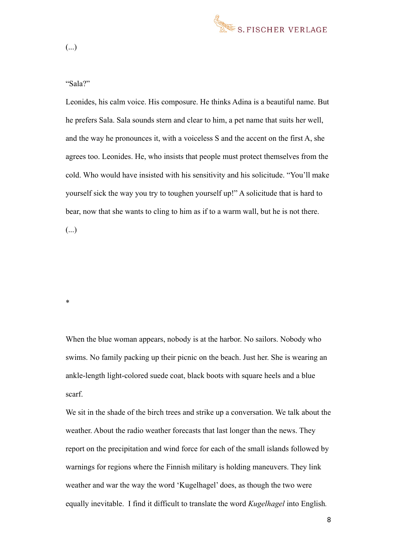

"Sala?"

Leonides, his calm voice. His composure. He thinks Adina is a beautiful name. But he prefers Sala. Sala sounds stern and clear to him, a pet name that suits her well, and the way he pronounces it, with a voiceless S and the accent on the first A, she agrees too. Leonides. He, who insists that people must protect themselves from the cold. Who would have insisted with his sensitivity and his solicitude. "You'll make yourself sick the way you try to toughen yourself up!" A solicitude that is hard to bear, now that she wants to cling to him as if to a warm wall, but he is not there.

(...)

\*

When the blue woman appears, nobody is at the harbor. No sailors. Nobody who swims. No family packing up their picnic on the beach. Just her. She is wearing an ankle-length light-colored suede coat, black boots with square heels and a blue scarf.

We sit in the shade of the birch trees and strike up a conversation. We talk about the weather. About the radio weather forecasts that last longer than the news. They report on the precipitation and wind force for each of the small islands followed by warnings for regions where the Finnish military is holding maneuvers. They link weather and war the way the word 'Kugelhagel' does, as though the two were equally inevitable. I find it difficult to translate the word *Kugelhagel* into English*.*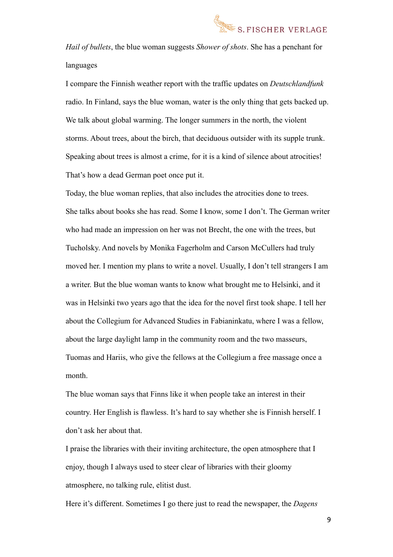

*Hail of bullets*, the blue woman suggests *Shower of shots*. She has a penchant for languages

I compare the Finnish weather report with the traffic updates on *Deutschlandfunk* radio. In Finland, says the blue woman, water is the only thing that gets backed up. We talk about global warming. The longer summers in the north, the violent storms. About trees, about the birch, that deciduous outsider with its supple trunk. Speaking about trees is almost a crime, for it is a kind of silence about atrocities! That's how a dead German poet once put it.

Today, the blue woman replies, that also includes the atrocities done to trees. She talks about books she has read. Some I know, some I don't. The German writer who had made an impression on her was not Brecht, the one with the trees, but Tucholsky. And novels by Monika Fagerholm and Carson McCullers had truly moved her. I mention my plans to write a novel. Usually, I don't tell strangers I am a writer. But the blue woman wants to know what brought me to Helsinki, and it was in Helsinki two years ago that the idea for the novel first took shape. I tell her about the Collegium for Advanced Studies in Fabianinkatu, where I was a fellow, about the large daylight lamp in the community room and the two masseurs, Tuomas and Hariis, who give the fellows at the Collegium a free massage once a month.

The blue woman says that Finns like it when people take an interest in their country. Her English is flawless. It's hard to say whether she is Finnish herself. I don't ask her about that.

I praise the libraries with their inviting architecture, the open atmosphere that I enjoy, though I always used to steer clear of libraries with their gloomy atmosphere, no talking rule, elitist dust.

Here it's different. Sometimes I go there just to read the newspaper, the *Dagens* 

9